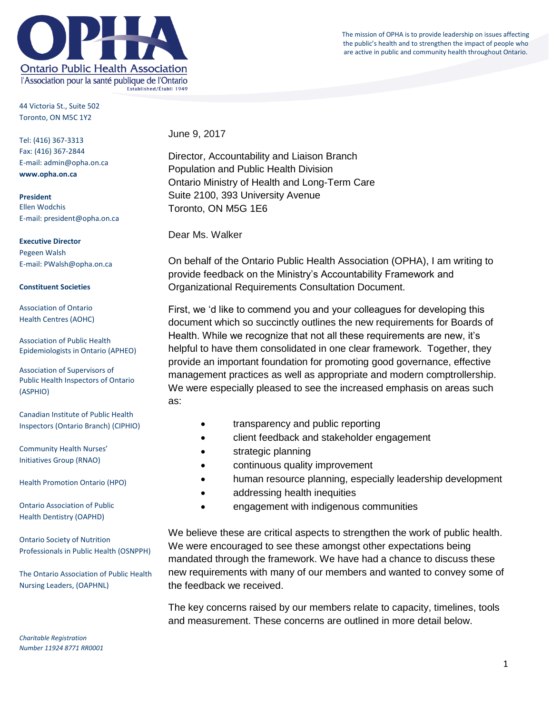

44 Victoria St., Suite 502 Toronto, ON M5C 1Y2

Tel: (416) 367-3313 Fax: (416) 367-2844 E-mail: admin@opha.on.ca **www.opha.on.ca**

**President** Ellen Wodchis E-mail: president@opha.on.ca

**Executive Director** Pegeen Walsh E-mail: PWalsh@opha.on.ca

## **Constituent Societies**

Association of Ontario Health Centres (AOHC)

Association of Public Health Epidemiologists in Ontario (APHEO)

Association of Supervisors of Public Health Inspectors of Ontario (ASPHIO)

Canadian Institute of Public Health Inspectors (Ontario Branch) (CIPHIO)

Community Health Nurses' Initiatives Group (RNAO)

Health Promotion Ontario (HPO)

Ontario Association of Public Health Dentistry (OAPHD)

Ontario Society of Nutrition Professionals in Public Health (OSNPPH)

The Ontario Association of Public Health Nursing Leaders, (OAPHNL)

*Charitable Registration Number 11924 8771 RR0001* June 9, 2017

Director, Accountability and Liaison Branch Population and Public Health Division Ontario Ministry of Health and Long-Term Care Suite 2100, 393 University Avenue Toronto, ON M5G 1E6

Dear Ms. Walker

On behalf of the Ontario Public Health Association (OPHA), I am writing to provide feedback on the Ministry's Accountability Framework and Organizational Requirements Consultation Document.

First, we 'd like to commend you and your colleagues for developing this document which so succinctly outlines the new requirements for Boards of Health. While we recognize that not all these requirements are new, it's helpful to have them consolidated in one clear framework. Together, they provide an important foundation for promoting good governance, effective management practices as well as appropriate and modern comptrollership. We were especially pleased to see the increased emphasis on areas such as:

- transparency and public reporting
- client feedback and stakeholder engagement
- strategic planning
- continuous quality improvement
- human resource planning, especially leadership development
- addressing health inequities
- engagement with indigenous communities

We believe these are critical aspects to strengthen the work of public health. We were encouraged to see these amongst other expectations being mandated through the framework. We have had a chance to discuss these new requirements with many of our members and wanted to convey some of the feedback we received.

The key concerns raised by our members relate to capacity, timelines, tools and measurement. These concerns are outlined in more detail below.

The mission of OPHA is to provide leadership on issues affecting the public's health and to strengthen the impact of people who are active in public and community health throughout Ontario.